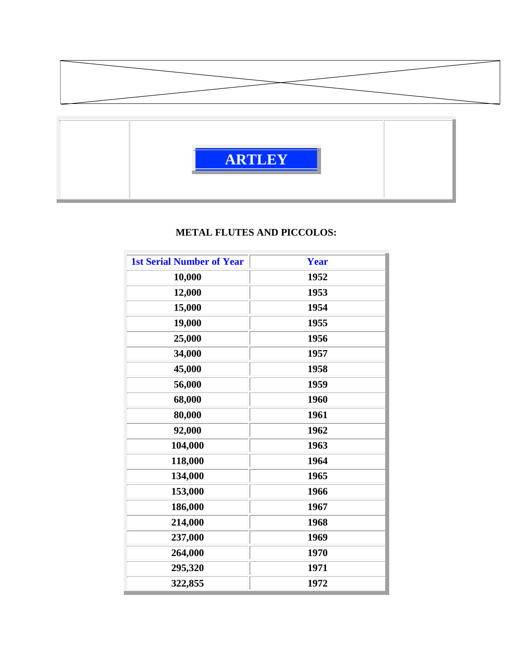



## **METAL FLUTES AND PICCOLOS:**

| <b>1st Serial Number of Year</b> | <b>Year</b> |
|----------------------------------|-------------|
| 10,000                           | 1952        |
| 12,000                           | 1953        |
| 15,000                           | 1954        |
| 19,000                           | 1955        |
| 25,000                           | 1956        |
| 34,000                           | 1957        |
| 45,000                           | 1958        |
| 56,000                           | 1959        |
| 68,000                           | 1960        |
| 80,000                           | 1961        |
| 92,000                           | 1962        |
| 104,000                          | 1963        |
| 118,000                          | 1964        |
| 134,000                          | 1965        |
| 153,000                          | 1966        |
| 186,000                          | 1967        |
| 214,000                          | 1968        |
| 237,000                          | 1969        |
| 264,000                          | 1970        |
| 295,320                          | 1971        |
| 322,855                          | 1972        |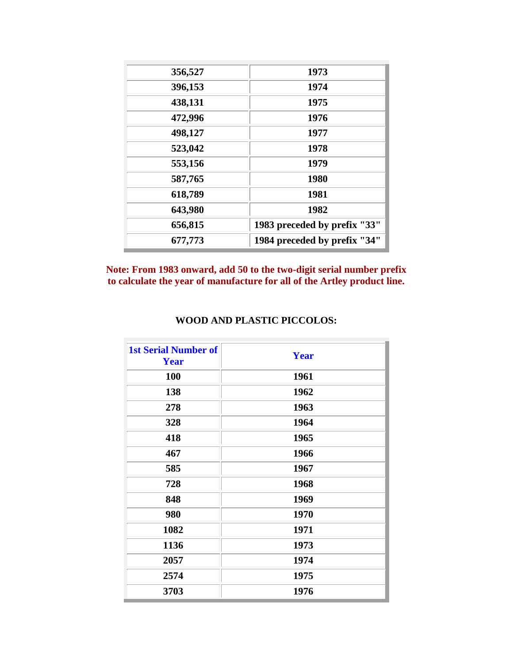| 356,527 | 1973                         |
|---------|------------------------------|
| 396,153 | 1974                         |
| 438,131 | 1975                         |
| 472,996 | 1976                         |
| 498,127 | 1977                         |
| 523,042 | 1978                         |
| 553,156 | 1979                         |
| 587,765 | 1980                         |
| 618,789 | 1981                         |
| 643,980 | 1982                         |
| 656,815 | 1983 preceded by prefix "33" |
| 677,773 | 1984 preceded by prefix "34" |

**Note: From 1983 onward, add 50 to the two-digit serial number prefix to calculate the year of manufacture for all of the Artley product line.**

| <b>1st Serial Number of</b><br><b>Year</b> | <b>Year</b> |
|--------------------------------------------|-------------|
| 100                                        | 1961        |
| 138                                        | 1962        |
| 278                                        | 1963        |
| 328                                        | 1964        |
| 418                                        | 1965        |
| 467                                        | 1966        |
| 585                                        | 1967        |
| 728                                        | 1968        |
| 848                                        | 1969        |
| 980                                        | 1970        |
| 1082                                       | 1971        |
| 1136                                       | 1973        |
| 2057                                       | 1974        |
| 2574                                       | 1975        |
| 3703                                       | 1976        |

## **WOOD AND PLASTIC PICCOLOS:**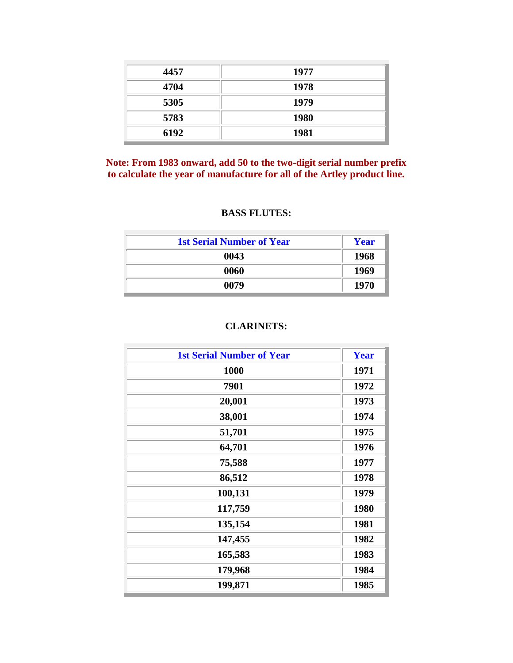| 4457 | 1977        |
|------|-------------|
| 4704 | 1978        |
| 5305 | 1979        |
| 5783 | <b>1980</b> |
| 6192 | 1981        |

**Note: From 1983 onward, add 50 to the two-digit serial number prefix to calculate the year of manufacture for all of the Artley product line.**

## **BASS FLUTES:**

| <b>1st Serial Number of Year</b> | Year        |
|----------------------------------|-------------|
| 0043                             | <b>1968</b> |
| 0060                             | 1969        |
| 0079                             | 1970        |

## **CLARINETS:**

| <b>1st Serial Number of Year</b> | <b>Year</b> |
|----------------------------------|-------------|
| 1000                             | 1971        |
| 7901                             | 1972        |
| 20,001                           | 1973        |
| 38,001                           | 1974        |
| 51,701                           | 1975        |
| 64,701                           | 1976        |
| 75,588                           | 1977        |
| 86,512                           | 1978        |
| 100,131                          | 1979        |
| 117,759                          | 1980        |
| 135,154                          | 1981        |
| 147,455                          | 1982        |
| 165,583                          | 1983        |
| 179,968                          | 1984        |
| 199,871                          | 1985        |